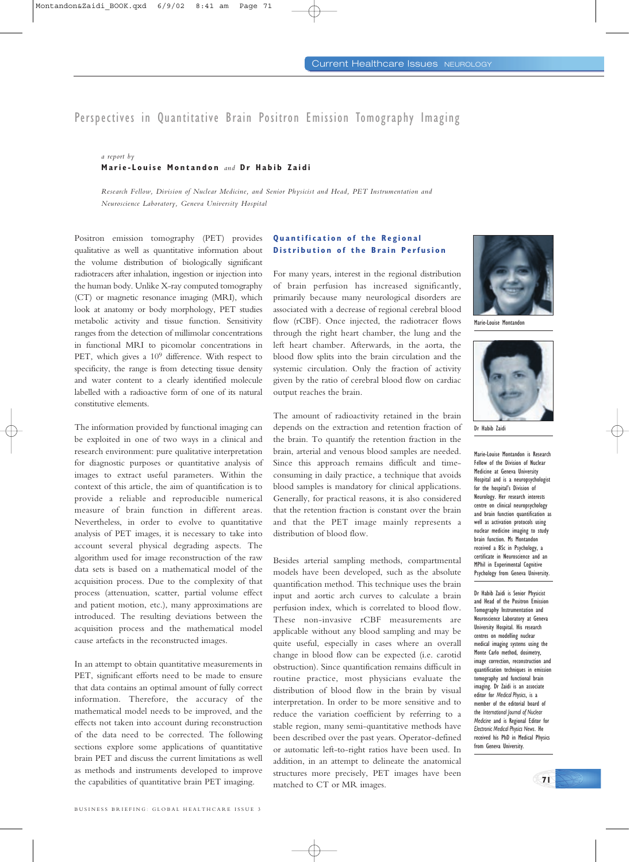# Perspectives in Quantitative Brain Positron Emission Tomography Imaging

### *a report by*  **Marie-Louise Montandon** *and* **Dr Habib Zaidi**

*Research Fellow, Division of Nuclear Medicine, and Senior Physicist and Head, PET Instrumentation and Neuroscience Laboratory, Geneva University Hospital*

Positron emission tomography (PET) provides qualitative as well as quantitative information about the volume distribution of biologically significant radiotracers after inhalation, ingestion or injection into the human body. Unlike X-ray computed tomography (CT) or magnetic resonance imaging (MRI), which look at anatomy or body morphology, PET studies metabolic activity and tissue function. Sensitivity ranges from the detection of millimolar concentrations in functional MRI to picomolar concentrations in PET, which gives a  $10^9$  difference. With respect to specificity, the range is from detecting tissue density and water content to a clearly identified molecule labelled with a radioactive form of one of its natural constitutive elements.

The information provided by functional imaging can be exploited in one of two ways in a clinical and research environment: pure qualitative interpretation for diagnostic purposes or quantitative analysis of images to extract useful parameters. Within the context of this article, the aim of quantification is to provide a reliable and reproducible numerical measure of brain function in different areas. Nevertheless, in order to evolve to quantitative analysis of PET images, it is necessary to take into account several physical degrading aspects. The algorithm used for image reconstruction of the raw data sets is based on a mathematical model of the acquisition process. Due to the complexity of that process (attenuation, scatter, partial volume effect and patient motion, etc.), many approximations are introduced. The resulting deviations between the acquisition process and the mathematical model cause artefacts in the reconstructed images.

In an attempt to obtain quantitative measurements in PET, significant efforts need to be made to ensure that data contains an optimal amount of fully correct information. Therefore, the accuracy of the mathematical model needs to be improved, and the effects not taken into account during reconstruction of the data need to be corrected. The following sections explore some applications of quantitative brain PET and discuss the current limitations as well as methods and instruments developed to improve the capabilities of quantitative brain PET imaging.

## **Quantification of the Regional Distribution of the Brain Perfusion**

For many years, interest in the regional distribution of brain perfusion has increased significantly, primarily because many neurological disorders are associated with a decrease of regional cerebral blood flow (rCBF). Once injected, the radiotracer flows through the right heart chamber, the lung and the left heart chamber. Afterwards, in the aorta, the blood flow splits into the brain circulation and the systemic circulation. Only the fraction of activity given by the ratio of cerebral blood flow on cardiac output reaches the brain.

The amount of radioactivity retained in the brain depends on the extraction and retention fraction of the brain. To quantify the retention fraction in the brain, arterial and venous blood samples are needed. Since this approach remains difficult and timeconsuming in daily practice, a technique that avoids blood samples is mandatory for clinical applications. Generally, for practical reasons, it is also considered that the retention fraction is constant over the brain and that the PET image mainly represents a distribution of blood flow.

Besides arterial sampling methods, compartmental models have been developed, such as the absolute quantification method. This technique uses the brain input and aortic arch curves to calculate a brain perfusion index, which is correlated to blood flow. These non-invasive rCBF measurements are applicable without any blood sampling and may be quite useful, especially in cases where an overall change in blood flow can be expected (i.e. carotid obstruction). Since quantification remains difficult in routine practice, most physicians evaluate the distribution of blood flow in the brain by visual interpretation. In order to be more sensitive and to reduce the variation coefficient by referring to a stable region, many semi-quantitative methods have been described over the past years. Operator-defined or automatic left-to-right ratios have been used. In addition, in an attempt to delineate the anatomical structures more precisely, PET images have been matched to CT or MR images.



Marie-Louise Montandon



Dr Habib Zaidi

Marie-Louise Montandon is Research Fellow of the Division of Nuclear Medicine at Geneva University Hospital and is a neuropsychologist for the hospital's Division of Neurology. Her research interests centre on clinical neuropsychology and brain function quantification as well as activation protocols using nuclear medicine imaging to study brain function. Ms Montandon received a BSc in Psychology, a certificate in Neuroscience and an MPhil in Experimental Cognitive Psychology from Geneva University.

Dr Habib Zaidi is Senior Physicist and Head of the Positron Emission Tomography Instrumentation and Neuroscience Laboratory at Geneva University Hospital. His research centres on modelling nuclear medical imaging systems using the Monte Carlo method, dosimetry, image correction, reconstruction and quantification techniques in emission tomography and functional brain imaging. Dr Zaidi is an associate editor for *Medical Physics*, is a member of the editorial board of the *International Journal of Nuclear Medicine* and is Regional Editor for *Electronic Medical Physics News*. He received his PhD in Medical Physics from Geneva University.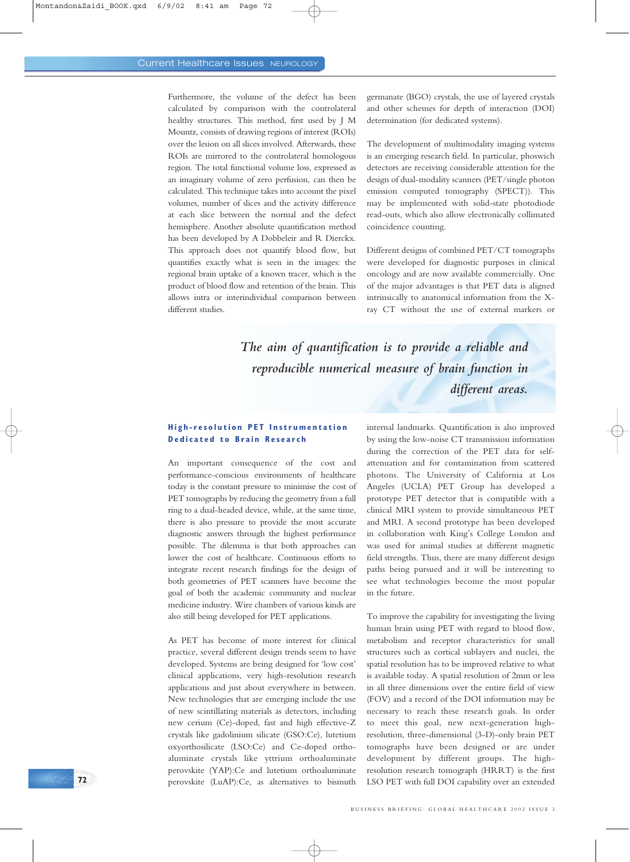Furthermore, the volume of the defect has been calculated by comparison with the controlateral healthy structures. This method, first used by J M Mountz, consists of drawing regions of interest (ROIs) over the lesion on all slices involved. Afterwards, these ROIs are mirrored to the controlateral homologous region. The total functional volume loss, expressed as an imaginary volume of zero perfusion, can then be calculated. This technique takes into account the pixel volumes, number of slices and the activity difference at each slice between the normal and the defect hemisphere. Another absolute quantification method has been developed by A Dobbeleir and R Dierckx. This approach does not quantify blood flow, but quantifies exactly what is seen in the images: the regional brain uptake of a known tracer, which is the product of blood flow and retention of the brain. This allows intra or interindividual comparison between different studies.

germanate (BGO) crystals, the use of layered crystals and other schemes for depth of interaction (DOI) determination (for dedicated systems).

The development of multimodality imaging systems is an emerging research field. In particular, phoswich detectors are receiving considerable attention for the design of dual-modality scanners (PET/single photon emission computed tomography (SPECT)). This may be implemented with solid-state photodiode read-outs, which also allow electronically collimated coincidence counting.

Different designs of combined PET/CT tomographs were developed for diagnostic purposes in clinical oncology and are now available commercially. One of the major advantages is that PET data is aligned intrinsically to anatomical information from the Xray CT without the use of external markers or

*The aim of quantification is to provide a reliable and reproducible numerical measure of brain function in different areas.*

#### **High-resolution PET Instrumentation Dedicated to Brain Research**

An important consequence of the cost and performance-conscious environments of healthcare today is the constant pressure to minimise the cost of PET tomographs by reducing the geometry from a full ring to a dual-headed device, while, at the same time, there is also pressure to provide the most accurate diagnostic answers through the highest performance possible. The dilemma is that both approaches can lower the cost of healthcare. Continuous efforts to integrate recent research findings for the design of both geometries of PET scanners have become the goal of both the academic community and nuclear medicine industry. Wire chambers of various kinds are also still being developed for PET applications.

As PET has become of more interest for clinical practice, several different design trends seem to have developed. Systems are being designed for 'low cost' clinical applications, very high-resolution research applications and just about everywhere in between. New technologies that are emerging include the use of new scintillating materials as detectors, including new cerium (Ce)-doped, fast and high effective-Z crystals like gadolinium silicate (GSO:Ce), lutetium oxyorthosilicate (LSO:Ce) and Ce-doped orthoaluminate crystals like yttrium orthoaluminate perovskite (YAP):Ce and lutetium orthoaluminate perovskite (LuAP):Ce, as alternatives to bismuth

**72**

internal landmarks. Quantification is also improved by using the low-noise CT transmission information during the correction of the PET data for selfattenuation and for contamination from scattered photons. The University of California at Los Angeles (UCLA) PET Group has developed a prototype PET detector that is compatible with a clinical MRI system to provide simultaneous PET and MRI. A second prototype has been developed in collaboration with King's College London and was used for animal studies at different magnetic field strengths. Thus, there are many different design paths being pursued and it will be interesting to see what technologies become the most popular in the future.

To improve the capability for investigating the living human brain using PET with regard to blood flow, metabolism and receptor characteristics for small structures such as cortical sublayers and nuclei, the spatial resolution has to be improved relative to what is available today. A spatial resolution of 2mm or less in all three dimensions over the entire field of view (FOV) and a record of the DOI information may be necessary to reach these research goals. In order to meet this goal, new next-generation highresolution, three-dimensional (3-D)-only brain PET tomographs have been designed or are under development by different groups. The highresolution research tomograph (HRRT) is the first LSO PET with full DOI capability over an extended